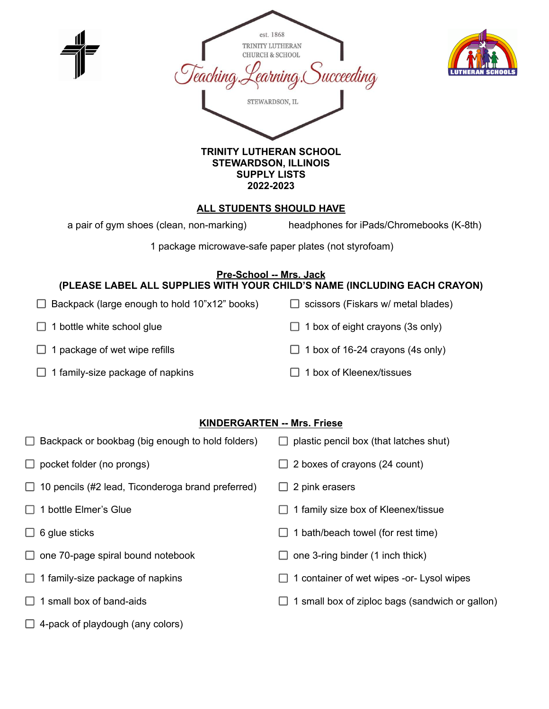